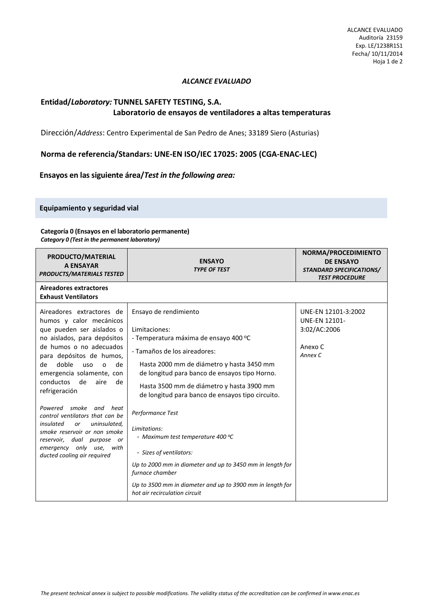## *ALCANCE EVALUADO*

## **Entidad/***Laboratory:* **TUNNEL SAFETY TESTING, S.A. Laboratorio de ensayos de ventiladores a altas temperaturas**

Dirección/*Address*: Centro Experimental de San Pedro de Anes; 33189 Siero (Asturias)

**Norma de referencia/Standars: UNE-EN ISO/IEC 17025: 2005 (CGA-ENAC-LEC)** 

**Ensayos en las siguiente área/***Test in the following area:*

**Equipamiento y seguridad vial** 

## **Categoría 0 (Ensayos en el laboratorio permanente)**

*Category 0 (Test in the permanent laboratory)* 

| PRODUCTO/MATERIAL<br><b>A ENSAYAR</b><br><b>PRODUCTS/MATERIALS TESTED</b>                                                                                                                                                                                                    | <b>ENSAYO</b><br><b>TYPE OF TEST</b>                                                                                                                                                                                                                          | NORMA/PROCEDIMIENTO<br><b>DE ENSAYO</b><br><b>STANDARD SPECIFICATIONS/</b><br><b>TEST PROCEDURE</b> |
|------------------------------------------------------------------------------------------------------------------------------------------------------------------------------------------------------------------------------------------------------------------------------|---------------------------------------------------------------------------------------------------------------------------------------------------------------------------------------------------------------------------------------------------------------|-----------------------------------------------------------------------------------------------------|
| Aireadores extractores<br><b>Exhaust Ventilators</b>                                                                                                                                                                                                                         |                                                                                                                                                                                                                                                               |                                                                                                     |
| Aireadores extractores de<br>humos y calor mecánicos<br>que pueden ser aislados o<br>no aislados, para depósitos<br>de humos o no adecuados<br>para depósitos de humos,<br>doble<br>de<br>uso<br>de<br>$\circ$<br>emergencia solamente, con<br>conductos<br>de<br>aire<br>de | Ensayo de rendimiento<br>Limitaciones:<br>- Temperatura máxima de ensayo 400 °C<br>- Tamaños de los aireadores:<br>Hasta 2000 mm de diámetro y hasta 3450 mm<br>de longitud para banco de ensayos tipo Horno.                                                 | UNE-EN 12101-3:2002<br><b>UNE-EN 12101-</b><br>3:02/AC:2006<br>Anexo C<br>Annex C                   |
| refrigeración<br>Powered smoke<br>and heat<br>control ventilators that can be<br>insulated<br>uninsulated,<br>or<br>smoke reservoir or non smoke<br>reservoir, dual purpose or<br>emergency only use, with<br>ducted cooling air required                                    | Hasta 3500 mm de diámetro y hasta 3900 mm<br>de longitud para banco de ensayos tipo circuito.<br>Performance Test<br>Limitations:<br>- Maximum test temperature 400 ℃<br>- Sizes of ventilators:<br>Up to 2000 mm in diameter and up to 3450 mm in length for |                                                                                                     |
|                                                                                                                                                                                                                                                                              | furnace chamber<br>Up to 3500 mm in diameter and up to 3900 mm in length for<br>hot air recirculation circuit                                                                                                                                                 |                                                                                                     |